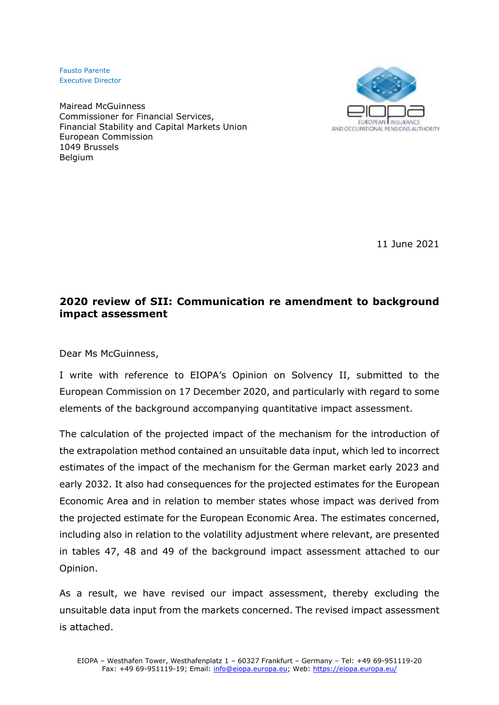Fausto Parente Executive Director

Mairead McGuinness Commissioner for Financial Services, Financial Stability and Capital Markets Union European Commission 1049 Brussels **Belgium** 



11 June 2021

## **2020 review of SII: Communication re amendment to background impact assessment**

Dear Ms McGuinness,

I write with reference to EIOPA's Opinion on Solvency II, submitted to the European Commission on 17 December 2020, and particularly with regard to some elements of the background accompanying quantitative impact assessment.

The calculation of the projected impact of the mechanism for the introduction of the extrapolation method contained an unsuitable data input, which led to incorrect estimates of the impact of the mechanism for the German market early 2023 and early 2032. It also had consequences for the projected estimates for the European Economic Area and in relation to member states whose impact was derived from the projected estimate for the European Economic Area. The estimates concerned, including also in relation to the volatility adjustment where relevant, are presented in tables 47, 48 and 49 of the background impact assessment attached to our Opinion.

As a result, we have revised our impact assessment, thereby excluding the unsuitable data input from the markets concerned. The revised impact assessment is attached.